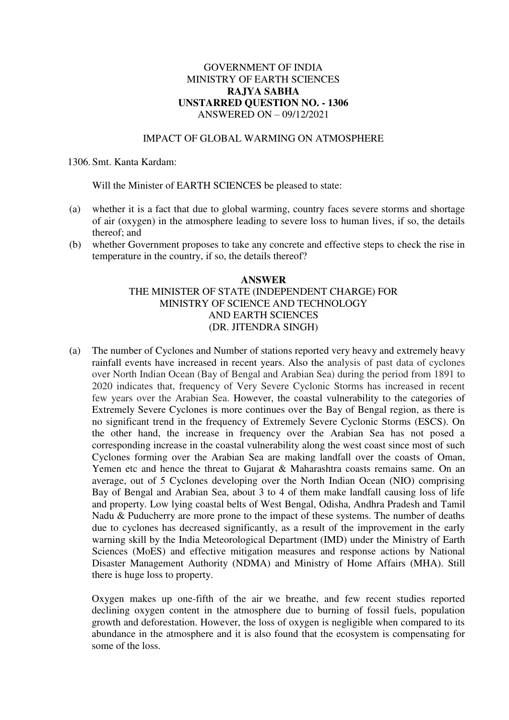## GOVERNMENT OF INDIA MINISTRY OF EARTH SCIENCES **RAJYA SABHA UNSTARRED QUESTION NO. - 1306**  ANSWERED ON – 09/12/2021

## IMPACT OF GLOBAL WARMING ON ATMOSPHERE

1306. Smt. Kanta Kardam:

Will the Minister of EARTH SCIENCES be pleased to state:

- (a) whether it is a fact that due to global warming, country faces severe storms and shortage of air (oxygen) in the atmosphere leading to severe loss to human lives, if so, the details thereof; and
- (b) whether Government proposes to take any concrete and effective steps to check the rise in temperature in the country, if so, the details thereof?

## **ANSWER**  THE MINISTER OF STATE (INDEPENDENT CHARGE) FOR MINISTRY OF SCIENCE AND TECHNOLOGY AND EARTH SCIENCES (DR. JITENDRA SINGH)

(a) The number of Cyclones and Number of stations reported very heavy and extremely heavy rainfall events have increased in recent years. Also the analysis of past data of cyclones over North Indian Ocean (Bay of Bengal and Arabian Sea) during the period from 1891 to 2020 indicates that, frequency of Very Severe Cyclonic Storms has increased in recent few years over the Arabian Sea. However, the coastal vulnerability to the categories of Extremely Severe Cyclones is more continues over the Bay of Bengal region, as there is no significant trend in the frequency of Extremely Severe Cyclonic Storms (ESCS). On the other hand, the increase in frequency over the Arabian Sea has not posed a corresponding increase in the coastal vulnerability along the west coast since most of such Cyclones forming over the Arabian Sea are making landfall over the coasts of Oman, Yemen etc and hence the threat to Gujarat & Maharashtra coasts remains same. On an average, out of 5 Cyclones developing over the North Indian Ocean (NIO) comprising Bay of Bengal and Arabian Sea, about 3 to 4 of them make landfall causing loss of life and property. Low lying coastal belts of West Bengal, Odisha, Andhra Pradesh and Tamil Nadu & Puducherry are more prone to the impact of these systems. The number of deaths due to cyclones has decreased significantly, as a result of the improvement in the early warning skill by the India Meteorological Department (IMD) under the Ministry of Earth Sciences (MoES) and effective mitigation measures and response actions by National Disaster Management Authority (NDMA) and Ministry of Home Affairs (MHA). Still there is huge loss to property.

Oxygen makes up one-fifth of the air we breathe, and few recent studies reported declining oxygen content in the atmosphere due to burning of fossil fuels, population growth and deforestation. However, the loss of oxygen is negligible when compared to its abundance in the atmosphere and it is also found that the ecosystem is compensating for some of the loss.